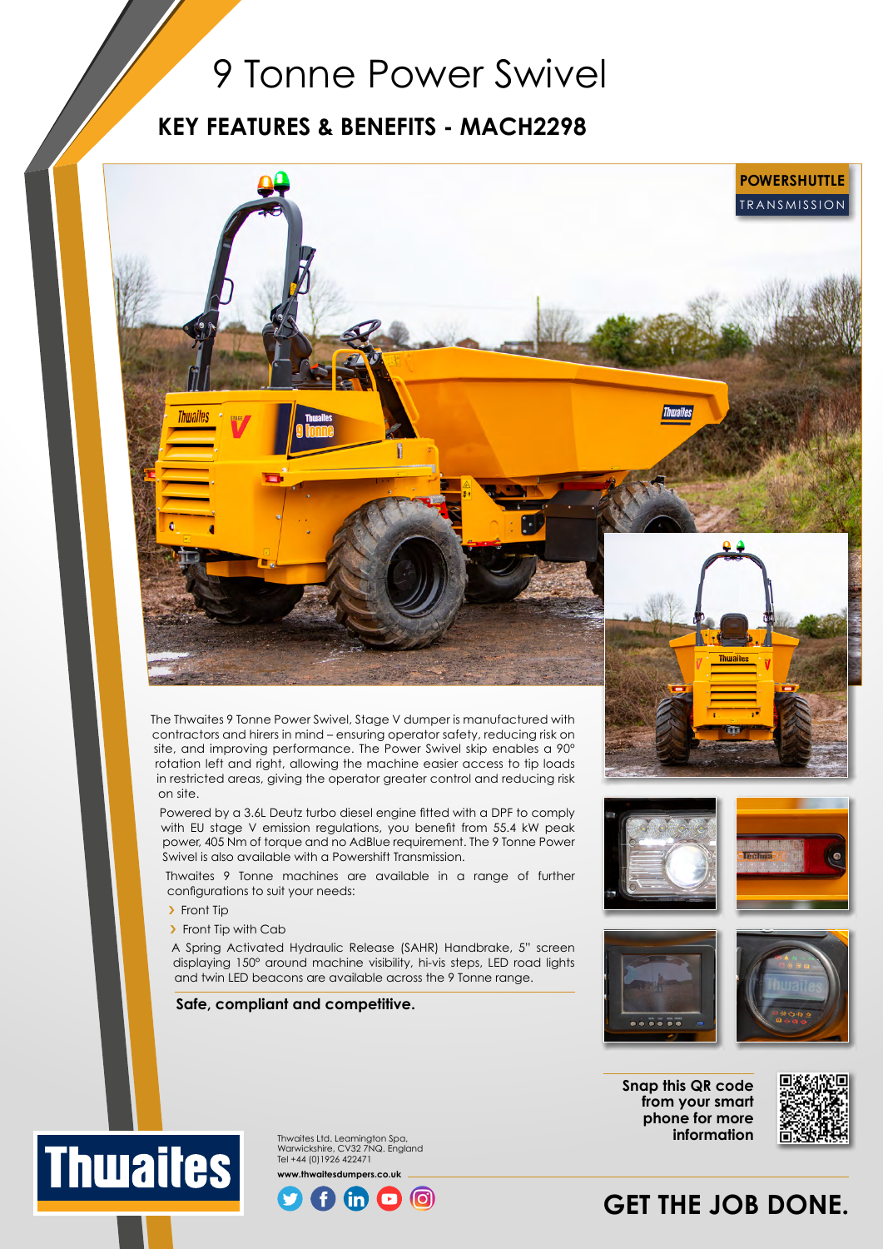# 9 Tonne Power Swivel

# **KEY FEATURES & BENEFITS - MACH2298**



The Thwaites 9 Tonne Power Swivel, Stage V dumper is manufactured with contractors and hirers in mind – ensuring operator safety, reducing risk on site, and improving performance. The Power Swivel skip enables a 90° rotation left and right, allowing the machine easier access to tip loads in restricted areas, giving the operator greater control and reducing risk on site.

Powered by a 3.6L Deutz turbo diesel engine fitted with a DPF to comply with EU stage V emission regulations, you benefit from 55.4 kW peak power, 405 Nm of torque and no AdBlue requirement. The 9 Tonne Power Swivel is also available with a Powershift Transmission.

Thwaites 9 Tonne machines are available in a range of further configurations to suit your needs:

> Front Tip

> Front Tip with Cab

A Spring Activated Hydraulic Release (SAHR) Handbrake, 5" screen displaying 150° around machine visibility, hi-vis steps, LED road lights and twin LED beacons are available across the 9 Tonne range.

# **Safe, compliant and competitive.**





**Snap this QR code from your smart phone for more information**



**GET THE JOB DONE.**



Thwaites Ltd. Leamington Spa, Warwickshire, CV32 7NQ. England Tel +44 (0)1926 422471 **www.thwaitesdumpers.co.uk**